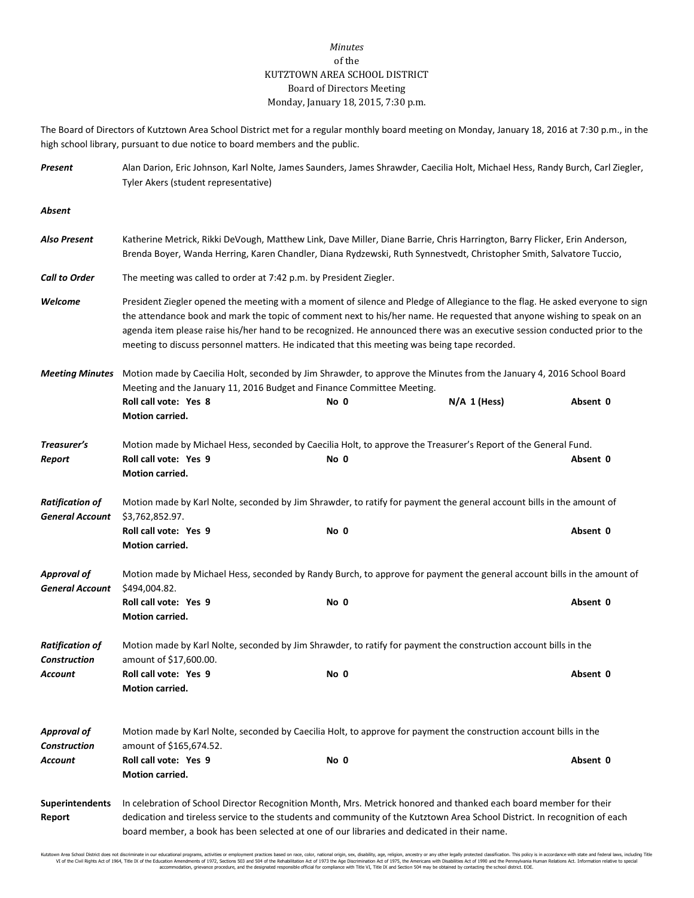## *Minutes* of the KUTZTOWN AREA SCHOOL DISTRICT Board of Directors Meeting Monday, January 18, 2015, 7:30 p.m.

The Board of Directors of Kutztown Area School District met for a regular monthly board meeting on Monday, January 18, 2016 at 7:30 p.m., in the high school library, pursuant to due notice to board members and the public.

| Present                                          | Alan Darion, Eric Johnson, Karl Nolte, James Saunders, James Shrawder, Caecilia Holt, Michael Hess, Randy Burch, Carl Ziegler,<br>Tyler Akers (student representative)                                                                                                                                                                                                                                                                                                                  |      |                |          |  |  |
|--------------------------------------------------|-----------------------------------------------------------------------------------------------------------------------------------------------------------------------------------------------------------------------------------------------------------------------------------------------------------------------------------------------------------------------------------------------------------------------------------------------------------------------------------------|------|----------------|----------|--|--|
| Absent                                           |                                                                                                                                                                                                                                                                                                                                                                                                                                                                                         |      |                |          |  |  |
| Also Present                                     | Katherine Metrick, Rikki DeVough, Matthew Link, Dave Miller, Diane Barrie, Chris Harrington, Barry Flicker, Erin Anderson,<br>Brenda Boyer, Wanda Herring, Karen Chandler, Diana Rydzewski, Ruth Synnestvedt, Christopher Smith, Salvatore Tuccio,                                                                                                                                                                                                                                      |      |                |          |  |  |
| <b>Call to Order</b>                             | The meeting was called to order at 7:42 p.m. by President Ziegler.                                                                                                                                                                                                                                                                                                                                                                                                                      |      |                |          |  |  |
| Welcome                                          | President Ziegler opened the meeting with a moment of silence and Pledge of Allegiance to the flag. He asked everyone to sign<br>the attendance book and mark the topic of comment next to his/her name. He requested that anyone wishing to speak on an<br>agenda item please raise his/her hand to be recognized. He announced there was an executive session conducted prior to the<br>meeting to discuss personnel matters. He indicated that this meeting was being tape recorded. |      |                |          |  |  |
| <b>Meeting Minutes</b>                           | Motion made by Caecilia Holt, seconded by Jim Shrawder, to approve the Minutes from the January 4, 2016 School Board<br>Meeting and the January 11, 2016 Budget and Finance Committee Meeting.                                                                                                                                                                                                                                                                                          |      |                |          |  |  |
|                                                  | Roll call vote: Yes 8<br>Motion carried.                                                                                                                                                                                                                                                                                                                                                                                                                                                | No 0 | $N/A$ 1 (Hess) | Absent 0 |  |  |
| Treasurer's                                      | Motion made by Michael Hess, seconded by Caecilia Holt, to approve the Treasurer's Report of the General Fund.                                                                                                                                                                                                                                                                                                                                                                          |      |                |          |  |  |
| Report                                           | Roll call vote: Yes 9<br>Motion carried.                                                                                                                                                                                                                                                                                                                                                                                                                                                | No 0 |                | Absent 0 |  |  |
| <b>Ratification of</b><br><b>General Account</b> | Motion made by Karl Nolte, seconded by Jim Shrawder, to ratify for payment the general account bills in the amount of<br>\$3,762,852.97.                                                                                                                                                                                                                                                                                                                                                |      |                |          |  |  |
|                                                  | Roll call vote: Yes 9<br>Motion carried.                                                                                                                                                                                                                                                                                                                                                                                                                                                | No 0 |                | Absent 0 |  |  |
| <b>Approval of</b><br><b>General Account</b>     | Motion made by Michael Hess, seconded by Randy Burch, to approve for payment the general account bills in the amount of<br>\$494,004.82.                                                                                                                                                                                                                                                                                                                                                |      |                |          |  |  |
|                                                  | Roll call vote: Yes 9<br>Motion carried.                                                                                                                                                                                                                                                                                                                                                                                                                                                | No 0 |                | Absent 0 |  |  |
| <b>Ratification of</b><br><b>Construction</b>    | Motion made by Karl Nolte, seconded by Jim Shrawder, to ratify for payment the construction account bills in the<br>amount of \$17,600.00.                                                                                                                                                                                                                                                                                                                                              |      |                |          |  |  |
| Account                                          | Roll call vote: Yes 9<br>Motion carried.                                                                                                                                                                                                                                                                                                                                                                                                                                                | No 0 |                | Absent 0 |  |  |
| <b>Approval of</b><br><b>Construction</b>        | Motion made by Karl Nolte, seconded by Caecilia Holt, to approve for payment the construction account bills in the<br>amount of \$165,674.52.                                                                                                                                                                                                                                                                                                                                           |      |                |          |  |  |
| Account                                          | Roll call vote: Yes 9<br><b>Motion carried.</b>                                                                                                                                                                                                                                                                                                                                                                                                                                         | No 0 |                | Absent 0 |  |  |
| <b>Superintendents</b><br>Report                 | In celebration of School Director Recognition Month, Mrs. Metrick honored and thanked each board member for their<br>dedication and tireless service to the students and community of the Kutztown Area School District. In recognition of each<br>board member, a book has been selected at one of our libraries and dedicated in their name.                                                                                                                                          |      |                |          |  |  |

Kutztown Area School District does not discriminate in our educational programs, activities or employment practices based on race, color, national origin, sex, disability, age, religion, ancestry or any other lealily prot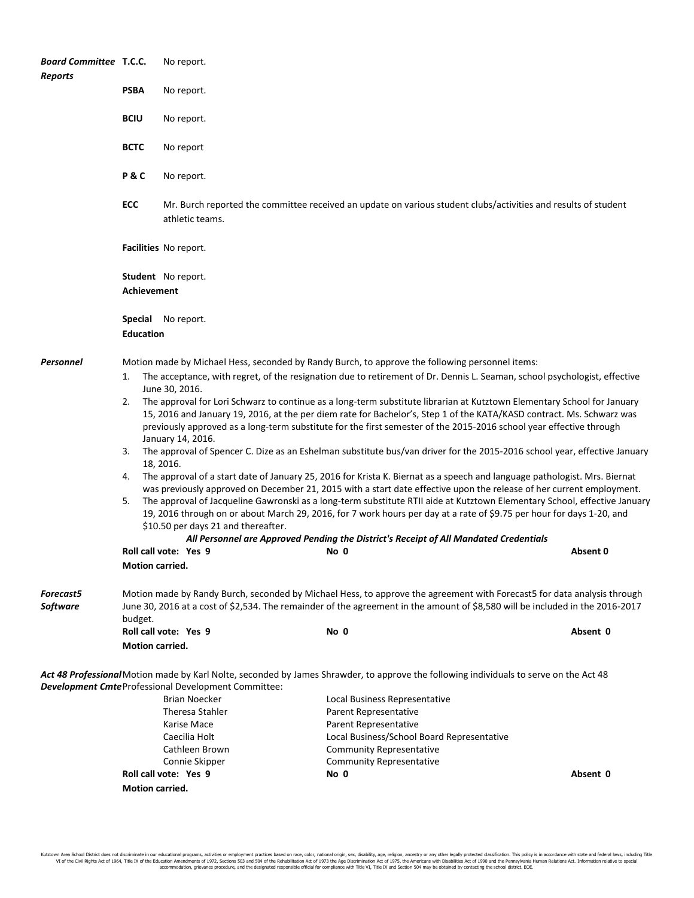| <b>Board Committee T.C.C.</b><br><b>Reports</b> | No report.                                                                                                                                                                                                                                                                                                                                                                    |                                                                                                                                                                                                                                                                                                                                                                                                                   |                                                                                                                                        |          |  |  |  |
|-------------------------------------------------|-------------------------------------------------------------------------------------------------------------------------------------------------------------------------------------------------------------------------------------------------------------------------------------------------------------------------------------------------------------------------------|-------------------------------------------------------------------------------------------------------------------------------------------------------------------------------------------------------------------------------------------------------------------------------------------------------------------------------------------------------------------------------------------------------------------|----------------------------------------------------------------------------------------------------------------------------------------|----------|--|--|--|
|                                                 | <b>PSBA</b>                                                                                                                                                                                                                                                                                                                                                                   | No report.                                                                                                                                                                                                                                                                                                                                                                                                        |                                                                                                                                        |          |  |  |  |
|                                                 | <b>BCIU</b>                                                                                                                                                                                                                                                                                                                                                                   | No report.                                                                                                                                                                                                                                                                                                                                                                                                        |                                                                                                                                        |          |  |  |  |
|                                                 | <b>BCTC</b>                                                                                                                                                                                                                                                                                                                                                                   | No report                                                                                                                                                                                                                                                                                                                                                                                                         |                                                                                                                                        |          |  |  |  |
|                                                 | P&C                                                                                                                                                                                                                                                                                                                                                                           | No report.                                                                                                                                                                                                                                                                                                                                                                                                        |                                                                                                                                        |          |  |  |  |
|                                                 | <b>ECC</b>                                                                                                                                                                                                                                                                                                                                                                    | Mr. Burch reported the committee received an update on various student clubs/activities and results of student<br>athletic teams.                                                                                                                                                                                                                                                                                 |                                                                                                                                        |          |  |  |  |
|                                                 |                                                                                                                                                                                                                                                                                                                                                                               | Facilities No report.                                                                                                                                                                                                                                                                                                                                                                                             |                                                                                                                                        |          |  |  |  |
|                                                 |                                                                                                                                                                                                                                                                                                                                                                               | Student No report.<br><b>Achievement</b>                                                                                                                                                                                                                                                                                                                                                                          |                                                                                                                                        |          |  |  |  |
|                                                 | <b>Special</b><br>No report.<br><b>Education</b>                                                                                                                                                                                                                                                                                                                              |                                                                                                                                                                                                                                                                                                                                                                                                                   |                                                                                                                                        |          |  |  |  |
| Personnel                                       | Motion made by Michael Hess, seconded by Randy Burch, to approve the following personnel items:                                                                                                                                                                                                                                                                               |                                                                                                                                                                                                                                                                                                                                                                                                                   |                                                                                                                                        |          |  |  |  |
|                                                 |                                                                                                                                                                                                                                                                                                                                                                               | The acceptance, with regret, of the resignation due to retirement of Dr. Dennis L. Seaman, school psychologist, effective<br>1.<br>June 30, 2016.                                                                                                                                                                                                                                                                 |                                                                                                                                        |          |  |  |  |
|                                                 | The approval for Lori Schwarz to continue as a long-term substitute librarian at Kutztown Elementary School for January<br>2.<br>15, 2016 and January 19, 2016, at the per diem rate for Bachelor's, Step 1 of the KATA/KASD contract. Ms. Schwarz was<br>previously approved as a long-term substitute for the first semester of the 2015-2016 school year effective through |                                                                                                                                                                                                                                                                                                                                                                                                                   |                                                                                                                                        |          |  |  |  |
|                                                 | 3.                                                                                                                                                                                                                                                                                                                                                                            | January 14, 2016.<br>The approval of Spencer C. Dize as an Eshelman substitute bus/van driver for the 2015-2016 school year, effective January                                                                                                                                                                                                                                                                    |                                                                                                                                        |          |  |  |  |
|                                                 | 4.                                                                                                                                                                                                                                                                                                                                                                            | 18, 2016.<br>The approval of a start date of January 25, 2016 for Krista K. Biernat as a speech and language pathologist. Mrs. Biernat                                                                                                                                                                                                                                                                            |                                                                                                                                        |          |  |  |  |
|                                                 | 5.                                                                                                                                                                                                                                                                                                                                                                            | was previously approved on December 21, 2015 with a start date effective upon the release of her current employment.<br>The approval of Jacqueline Gawronski as a long-term substitute RTII aide at Kutztown Elementary School, effective January<br>19, 2016 through on or about March 29, 2016, for 7 work hours per day at a rate of \$9.75 per hour for days 1-20, and<br>\$10.50 per days 21 and thereafter. |                                                                                                                                        |          |  |  |  |
|                                                 |                                                                                                                                                                                                                                                                                                                                                                               | All Personnel are Approved Pending the District's Receipt of All Mandated Credentials                                                                                                                                                                                                                                                                                                                             |                                                                                                                                        |          |  |  |  |
|                                                 | Motion carried.                                                                                                                                                                                                                                                                                                                                                               | Roll call vote: Yes 9                                                                                                                                                                                                                                                                                                                                                                                             | No 0                                                                                                                                   | Absent 0 |  |  |  |
| <b>Forecast5</b><br><b>Software</b>             | Motion made by Randy Burch, seconded by Michael Hess, to approve the agreement with Forecast5 for data analysis through<br>June 30, 2016 at a cost of \$2,534. The remainder of the agreement in the amount of \$8,580 will be included in the 2016-2017                                                                                                                      |                                                                                                                                                                                                                                                                                                                                                                                                                   |                                                                                                                                        |          |  |  |  |
|                                                 | budget.                                                                                                                                                                                                                                                                                                                                                                       | Roll call vote: Yes 9                                                                                                                                                                                                                                                                                                                                                                                             | No 0                                                                                                                                   | Absent 0 |  |  |  |
|                                                 | Motion carried.                                                                                                                                                                                                                                                                                                                                                               |                                                                                                                                                                                                                                                                                                                                                                                                                   |                                                                                                                                        |          |  |  |  |
|                                                 |                                                                                                                                                                                                                                                                                                                                                                               | <b>Development Cmte Professional Development Committee:</b>                                                                                                                                                                                                                                                                                                                                                       | Act 48 Professional Motion made by Karl Nolte, seconded by James Shrawder, to approve the following individuals to serve on the Act 48 |          |  |  |  |
|                                                 |                                                                                                                                                                                                                                                                                                                                                                               | Brian Noecker                                                                                                                                                                                                                                                                                                                                                                                                     | Local Business Representative                                                                                                          |          |  |  |  |
|                                                 |                                                                                                                                                                                                                                                                                                                                                                               | Theresa Stahler                                                                                                                                                                                                                                                                                                                                                                                                   | Parent Representative                                                                                                                  |          |  |  |  |
|                                                 |                                                                                                                                                                                                                                                                                                                                                                               | Karise Mace                                                                                                                                                                                                                                                                                                                                                                                                       | Parent Representative                                                                                                                  |          |  |  |  |
|                                                 |                                                                                                                                                                                                                                                                                                                                                                               | Caecilia Holt<br>Cathleen Brown                                                                                                                                                                                                                                                                                                                                                                                   | Local Business/School Board Representative<br><b>Community Representative</b>                                                          |          |  |  |  |
|                                                 |                                                                                                                                                                                                                                                                                                                                                                               | Connie Skipper                                                                                                                                                                                                                                                                                                                                                                                                    | <b>Community Representative</b>                                                                                                        |          |  |  |  |
|                                                 |                                                                                                                                                                                                                                                                                                                                                                               | Roll call vote: Yes 9                                                                                                                                                                                                                                                                                                                                                                                             | No 0                                                                                                                                   | Absent 0 |  |  |  |
|                                                 | <b>Motion carried.</b>                                                                                                                                                                                                                                                                                                                                                        |                                                                                                                                                                                                                                                                                                                                                                                                                   |                                                                                                                                        |          |  |  |  |
|                                                 |                                                                                                                                                                                                                                                                                                                                                                               |                                                                                                                                                                                                                                                                                                                                                                                                                   |                                                                                                                                        |          |  |  |  |